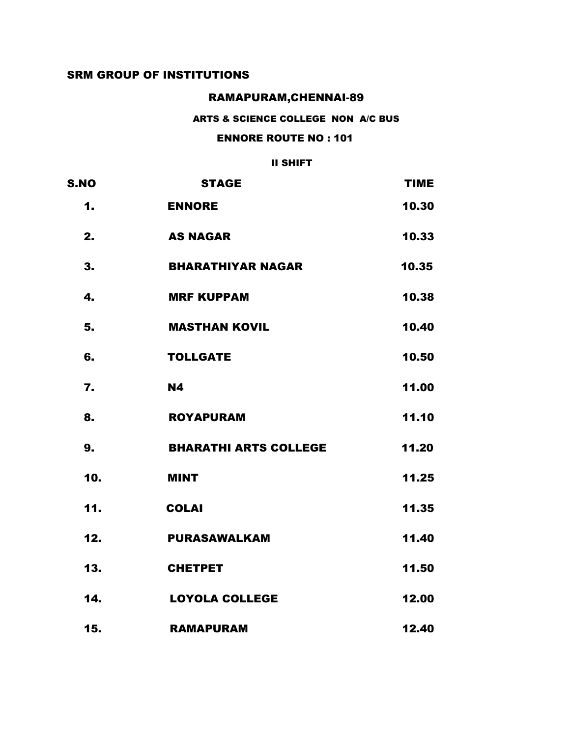### RAMAPURAM,CHENNAI-89

#### ARTS & SCIENCE COLLEGE NON A/C BUS

### ENNORE ROUTE NO : 101

| <b>S.NO</b> | <b>STAGE</b>                 | <b>TIME</b> |
|-------------|------------------------------|-------------|
| 1.          | <b>ENNORE</b>                | 10.30       |
| 2.          | <b>AS NAGAR</b>              | 10.33       |
| 3.          | <b>BHARATHIYAR NAGAR</b>     | 10.35       |
| 4.          | <b>MRF KUPPAM</b>            | 10.38       |
| 5.          | <b>MASTHAN KOVIL</b>         | 10.40       |
| 6.          | <b>TOLLGATE</b>              | 10.50       |
| 7.          | <b>N4</b>                    | 11.00       |
| 8.          | <b>ROYAPURAM</b>             | 11.10       |
| 9.          | <b>BHARATHI ARTS COLLEGE</b> | 11.20       |
| 10.         | <b>MINT</b>                  | 11.25       |
| 11.         | <b>COLAI</b>                 | 11.35       |
| 12.         | <b>PURASAWALKAM</b>          | 11.40       |
| 13.         | <b>CHETPET</b>               | 11.50       |
| 14.         | <b>LOYOLA COLLEGE</b>        | 12.00       |
| 15.         | <b>RAMAPURAM</b>             | 12.40       |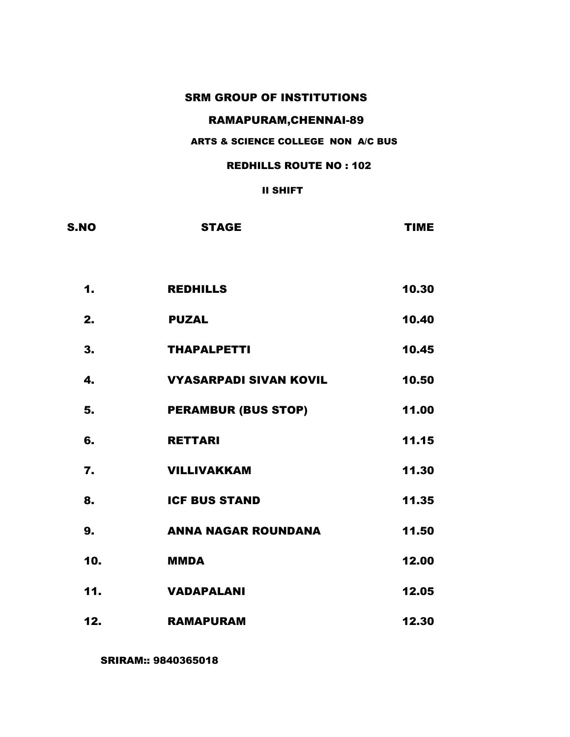# RAMAPURAM,CHENNAI-89

#### ARTS & SCIENCE COLLEGE NON A/C BUS

#### REDHILLS ROUTE NO : 102

#### II SHIFT

| <b>S.NO</b> | <b>STAGE</b>                  | <b>TIME</b> |
|-------------|-------------------------------|-------------|
|             |                               |             |
| 1.          | <b>REDHILLS</b>               | 10.30       |
| 2.          | <b>PUZAL</b>                  | 10.40       |
| 3.          | <b>THAPALPETTI</b>            | 10.45       |
| 4.          | <b>VYASARPADI SIVAN KOVIL</b> | 10.50       |
| 5.          | <b>PERAMBUR (BUS STOP)</b>    | 11.00       |
| 6.          | <b>RETTARI</b>                | 11.15       |
| 7.          | <b>VILLIVAKKAM</b>            | 11.30       |
| 8.          | <b>ICF BUS STAND</b>          | 11.35       |
| 9.          | <b>ANNA NAGAR ROUNDANA</b>    | 11.50       |
| 10.         | <b>MMDA</b>                   | 12.00       |
| 11.         | <b>VADAPALANI</b>             | 12.05       |
| 12.         | <b>RAMAPURAM</b>              | 12.30       |

SRIRAM:: 9840365018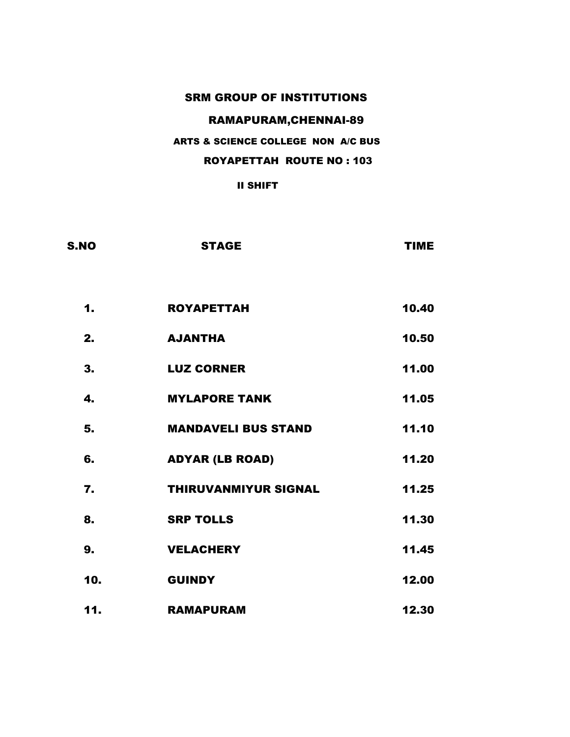# RAMAPURAM,CHENNAI-89

### ARTS & SCIENCE COLLEGE NON A/C BUS

### ROYAPETTAH ROUTE NO : 103

| <b>S.NO</b> | <b>STAGE</b>                | <b>TIME</b> |
|-------------|-----------------------------|-------------|
| 1.          | <b>ROYAPETTAH</b>           | 10.40       |
| 2.          | <b>AJANTHA</b>              | 10.50       |
| 3.          | <b>LUZ CORNER</b>           | 11.00       |
| 4.          | <b>MYLAPORE TANK</b>        | 11.05       |
| 5.          | <b>MANDAVELI BUS STAND</b>  | 11.10       |
| 6.          | <b>ADYAR (LB ROAD)</b>      | 11.20       |
| 7.          | <b>THIRUVANMIYUR SIGNAL</b> | 11.25       |
| 8.          | <b>SRP TOLLS</b>            | 11.30       |
| 9.          | <b>VELACHERY</b>            | 11.45       |
| 10.         | <b>GUINDY</b>               | 12.00       |
| 11.         | <b>RAMAPURAM</b>            | 12.30       |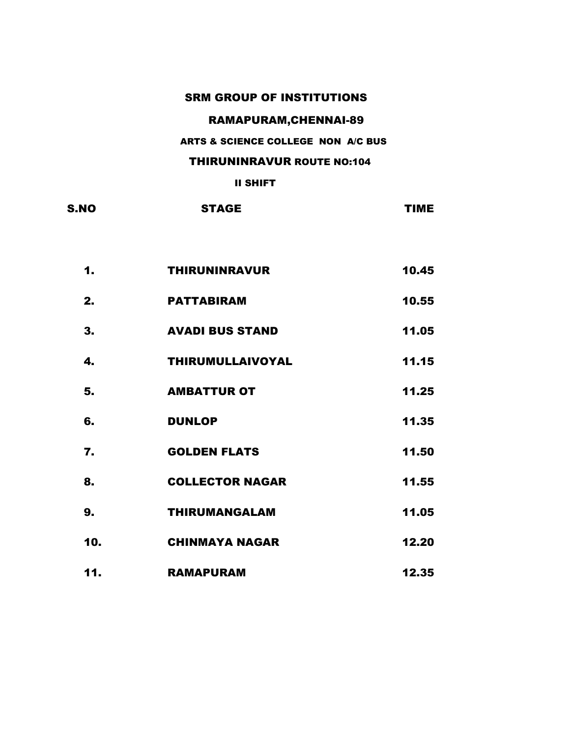# RAMAPURAM,CHENNAI-89

#### ARTS & SCIENCE COLLEGE NON A/C BUS

#### THIRUNINRAVUR ROUTE NO:104

| 1.           | <b>THIRUNINRAVUR</b>    | 10.45 |
|--------------|-------------------------|-------|
| 2.           | <b>PATTABIRAM</b>       | 10.55 |
| 3.           | <b>AVADI BUS STAND</b>  | 11.05 |
| $\mathbf{4}$ | <b>THIRUMULLAIVOYAL</b> | 11.15 |
| 5.           | <b>AMBATTUR OT</b>      | 11.25 |
| 6.           | <b>DUNLOP</b>           | 11.35 |
| 7.           | <b>GOLDEN FLATS</b>     | 11.50 |
| 8.           | <b>COLLECTOR NAGAR</b>  | 11.55 |
| 9.           | <b>THIRUMANGALAM</b>    | 11.05 |
| 10.          | <b>CHINMAYA NAGAR</b>   | 12.20 |
| 11.          | <b>RAMAPURAM</b>        | 12.35 |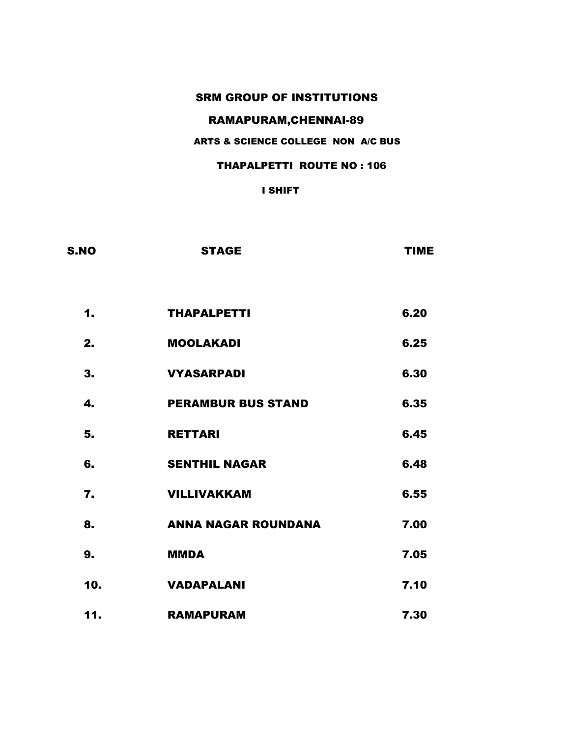# RAMAPURAM,CHENNAI-89

### ARTS & SCIENCE COLLEGE NON A/C BUS

### THAPALPETTI ROUTE NO : 106

| S.NO             | <b>STAGE</b>               | <b>TIME</b> |
|------------------|----------------------------|-------------|
| 1.               | <b>THAPALPETTI</b>         | 6.20        |
| 2.               | <b>MOOLAKADI</b>           | 6.25        |
| 3.               | <b>VYASARPADI</b>          | 6.30        |
| 4.               | <b>PERAMBUR BUS STAND</b>  | 6.35        |
| 5.               | <b>RETTARI</b>             | 6.45        |
| 6.               | <b>SENTHIL NAGAR</b>       | 6.48        |
| $\overline{7}$ . | <b>VILLIVAKKAM</b>         | 6.55        |
| 8.               | <b>ANNA NAGAR ROUNDANA</b> | 7.00        |
| 9.               | <b>MMDA</b>                | 7.05        |
| 10.              | <b>VADAPALANI</b>          | 7.10        |
| 11.              | <b>RAMAPURAM</b>           | 7.30        |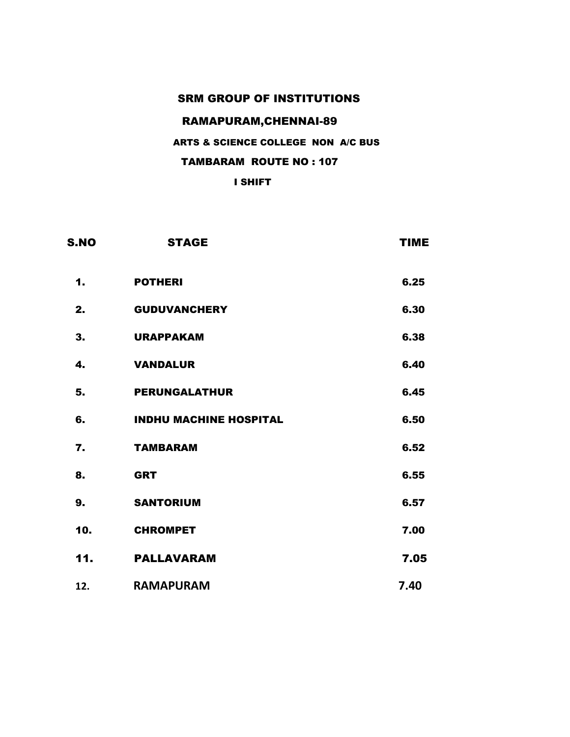# RAMAPURAM,CHENNAI-89

## ARTS & SCIENCE COLLEGE NON A/C BUS

### TAMBARAM ROUTE NO : 107

| S.NO | <b>STAGE</b>                  | <b>TIME</b> |
|------|-------------------------------|-------------|
| 1.   | <b>POTHERI</b>                | 6.25        |
| 2.   | <b>GUDUVANCHERY</b>           | 6.30        |
| 3.   | <b>URAPPAKAM</b>              | 6.38        |
| 4.   | <b>VANDALUR</b>               | 6.40        |
| 5.   | <b>PERUNGALATHUR</b>          | 6.45        |
| 6.   | <b>INDHU MACHINE HOSPITAL</b> | 6.50        |
| 7.   | <b>TAMBARAM</b>               | 6.52        |
| 8.   | <b>GRT</b>                    | 6.55        |
| 9.   | <b>SANTORIUM</b>              | 6.57        |
| 10.  | <b>CHROMPET</b>               | 7.00        |
| 11.  | <b>PALLAVARAM</b>             | 7.05        |
| 12.  | <b>RAMAPURAM</b>              | 7.40        |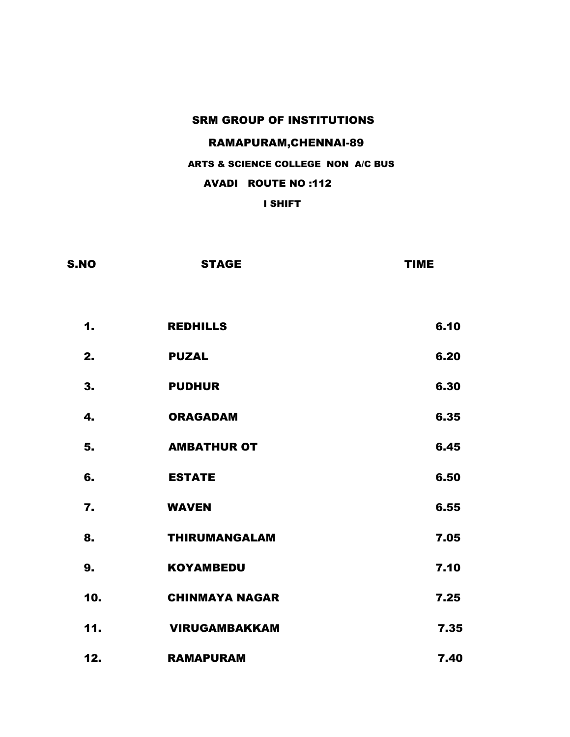### RAMAPURAM,CHENNAI-89

#### ARTS & SCIENCE COLLEGE NON A/C BUS

### AVADI ROUTE NO :112

| S.NO             | <b>STAGE</b>          | <b>TIME</b> |
|------------------|-----------------------|-------------|
|                  |                       |             |
| 1.               | <b>REDHILLS</b>       | 6.10        |
| 2.               | <b>PUZAL</b>          | 6.20        |
| 3.               | <b>PUDHUR</b>         | 6.30        |
| 4.               | <b>ORAGADAM</b>       | 6.35        |
| 5.               | <b>AMBATHUR OT</b>    | 6.45        |
| 6.               | <b>ESTATE</b>         | 6.50        |
| $\overline{7}$ . | <b>WAVEN</b>          | 6.55        |
| 8.               | <b>THIRUMANGALAM</b>  | 7.05        |
| 9.               | <b>KOYAMBEDU</b>      | 7.10        |
| 10.              | <b>CHINMAYA NAGAR</b> | 7.25        |
| 11.              | <b>VIRUGAMBAKKAM</b>  | 7.35        |
| 12.              | <b>RAMAPURAM</b>      | 7.40        |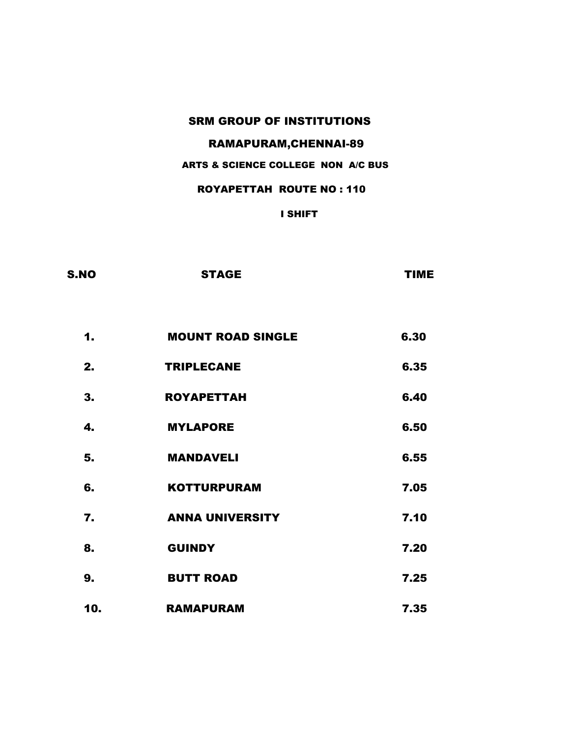### RAMAPURAM,CHENNAI-89

### ARTS & SCIENCE COLLEGE NON A/C BUS

#### ROYAPETTAH ROUTE NO : 110

| S.NO | <b>STAGE</b>             | <b>TIME</b> |
|------|--------------------------|-------------|
|      |                          |             |
| 1.   | <b>MOUNT ROAD SINGLE</b> | 6.30        |
| 2.   | <b>TRIPLECANE</b>        | 6.35        |
| 3.   | <b>ROYAPETTAH</b>        | 6.40        |
| 4.   | <b>MYLAPORE</b>          | 6.50        |
| 5.   | <b>MANDAVELI</b>         | 6.55        |
| 6.   | <b>KOTTURPURAM</b>       | 7.05        |
| 7.   | <b>ANNA UNIVERSITY</b>   | 7.10        |
| 8.   | <b>GUINDY</b>            | 7.20        |
| 9.   | <b>BUTT ROAD</b>         | 7.25        |
| 10.  | <b>RAMAPURAM</b>         | 7.35        |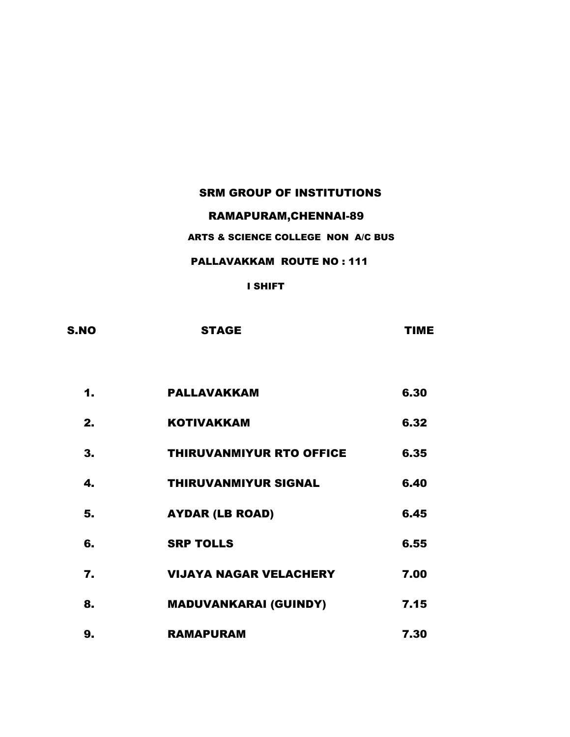### RAMAPURAM,CHENNAI-89

### ARTS & SCIENCE COLLEGE NON A/C BUS

#### PALLAVAKKAM ROUTE NO : 111

| S.NO | <b>STAGE</b> | <b>TIME</b> |
|------|--------------|-------------|
|      |              |             |

| 1. | PALLAVAKKAM                     | 6.30 |
|----|---------------------------------|------|
| 2. | <b>KOTIVAKKAM</b>               | 6.32 |
| 3. | <b>THIRUVANMIYUR RTO OFFICE</b> | 6.35 |
| 4. | <b>THIRUVANMIYUR SIGNAL</b>     | 6.40 |
| 5. | <b>AYDAR (LB ROAD)</b>          | 6.45 |
| 6. | <b>SRP TOLLS</b>                | 6.55 |
| 7. | <b>VIJAYA NAGAR VELACHERY</b>   | 7.00 |
| 8. | <b>MADUVANKARAI (GUINDY)</b>    | 7.15 |
| 9. | <b>RAMAPURAM</b>                | 7.30 |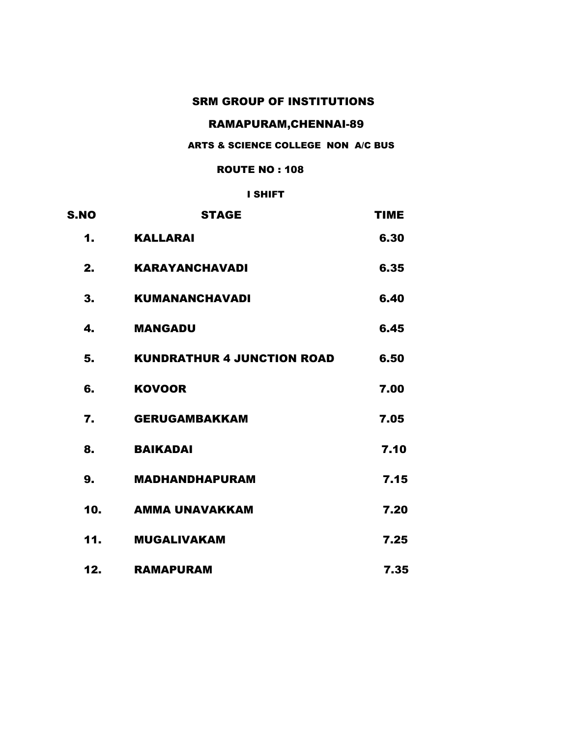### RAMAPURAM,CHENNAI-89

#### ARTS & SCIENCE COLLEGE NON A/C BUS

#### ROUTE NO : 108

| <b>S.NO</b> | <b>STAGE</b>                      | <b>TIME</b> |
|-------------|-----------------------------------|-------------|
| 1.          | <b>KALLARAI</b>                   | 6.30        |
| 2.          | <b>KARAYANCHAVADI</b>             | 6.35        |
| 3.          | <b>KUMANANCHAVADI</b>             | 6.40        |
| 4.          | <b>MANGADU</b>                    | 6.45        |
| 5.          | <b>KUNDRATHUR 4 JUNCTION ROAD</b> | 6.50        |
| 6.          | <b>KOVOOR</b>                     | 7.00        |
| 7.          | <b>GERUGAMBAKKAM</b>              | 7.05        |
| 8.          | <b>BAIKADAI</b>                   | 7.10        |
| 9.          | <b>MADHANDHAPURAM</b>             | 7.15        |
| 10.         | <b>AMMA UNAVAKKAM</b>             | 7.20        |
| 11.         | <b>MUGALIVAKAM</b>                | 7.25        |
| 12.         | <b>RAMAPURAM</b>                  | 7.35        |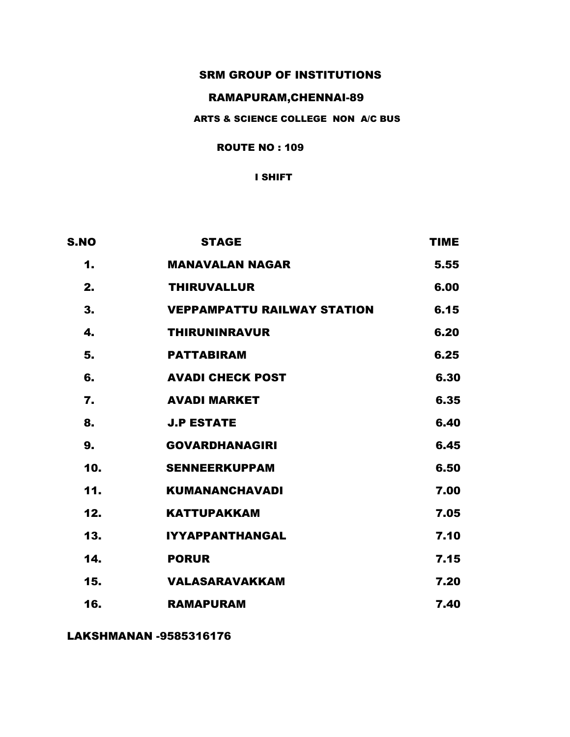### RAMAPURAM,CHENNAI-89

#### ARTS & SCIENCE COLLEGE NON A/C BUS

#### ROUTE NO : 109

#### I SHIFT

| <b>S.NO</b> | <b>STAGE</b>                       | <b>TIME</b> |
|-------------|------------------------------------|-------------|
| 1.          | <b>MANAVALAN NAGAR</b>             | 5.55        |
| 2.          | <b>THIRUVALLUR</b>                 | 6.00        |
| 3.          | <b>VEPPAMPATTU RAILWAY STATION</b> | 6.15        |
| 4.          | <b>THIRUNINRAVUR</b>               | 6.20        |
| 5.          | <b>PATTABIRAM</b>                  | 6.25        |
| 6.          | <b>AVADI CHECK POST</b>            | 6.30        |
| 7.          | <b>AVADI MARKET</b>                | 6.35        |
| 8.          | <b>J.P ESTATE</b>                  | 6.40        |
| 9.          | <b>GOVARDHANAGIRI</b>              | 6.45        |
| 10.         | <b>SENNEERKUPPAM</b>               | 6.50        |
| 11.         | <b>KUMANANCHAVADI</b>              | 7.00        |
| 12.         | <b>KATTUPAKKAM</b>                 | 7.05        |
| 13.         | <b>IYYAPPANTHANGAL</b>             | 7.10        |
| 14.         | <b>PORUR</b>                       | 7.15        |
| 15.         | <b>VALASARAVAKKAM</b>              | 7.20        |
| 16.         | <b>RAMAPURAM</b>                   | 7.40        |

LAKSHMANAN -9585316176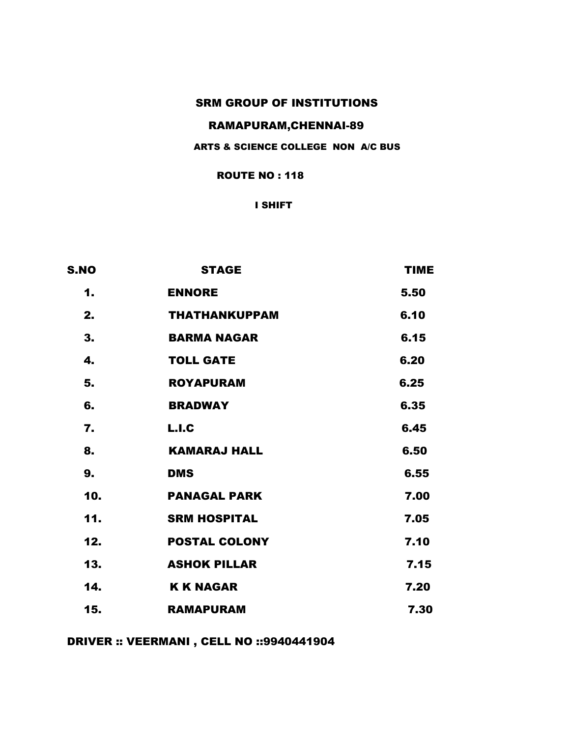### RAMAPURAM,CHENNAI-89

#### ARTS & SCIENCE COLLEGE NON A/C BUS

ROUTE NO : 118

I SHIFT

| <b>S.NO</b> | <b>STAGE</b>         | <b>TIME</b> |
|-------------|----------------------|-------------|
| 1.          | <b>ENNORE</b>        | 5.50        |
| 2.          | <b>THATHANKUPPAM</b> | 6.10        |
| 3.          | <b>BARMA NAGAR</b>   | 6.15        |
| 4.          | <b>TOLL GATE</b>     | 6.20        |
| 5.          | <b>ROYAPURAM</b>     | 6.25        |
| 6.          | <b>BRADWAY</b>       | 6.35        |
| 7.          | L.I.C                | 6.45        |
| 8.          | <b>KAMARAJ HALL</b>  | 6.50        |
| 9.          | <b>DMS</b>           | 6.55        |
| 10.         | <b>PANAGAL PARK</b>  | 7.00        |
| 11.         | <b>SRM HOSPITAL</b>  | 7.05        |
| 12.         | <b>POSTAL COLONY</b> | 7.10        |
| 13.         | <b>ASHOK PILLAR</b>  | 7.15        |
| 14.         | <b>K K NAGAR</b>     | 7.20        |
| 15.         | <b>RAMAPURAM</b>     | 7.30        |

DRIVER :: VEERMANI , CELL NO ::9940441904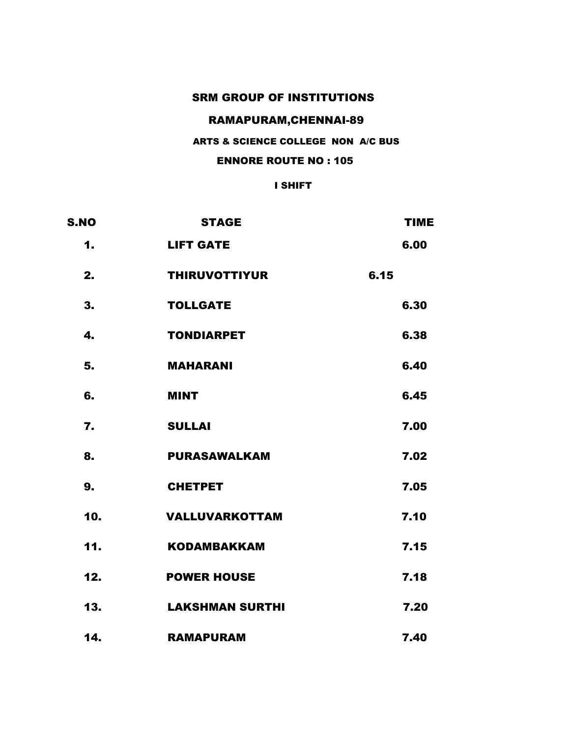# RAMAPURAM,CHENNAI-89

### ARTS & SCIENCE COLLEGE NON A/C BUS

#### ENNORE ROUTE NO : 105

| <b>S.NO</b> |     | <b>STAGE</b>           |      | <b>TIME</b> |
|-------------|-----|------------------------|------|-------------|
|             | 1.  | <b>LIFT GATE</b>       |      | 6.00        |
|             | 2.  | <b>THIRUVOTTIYUR</b>   | 6.15 |             |
|             | 3.  | <b>TOLLGATE</b>        |      | 6.30        |
|             | 4.  | <b>TONDIARPET</b>      |      | 6.38        |
|             | 5.  | <b>MAHARANI</b>        |      | 6.40        |
|             | 6.  | <b>MINT</b>            |      | 6.45        |
|             | 7.  | <b>SULLAI</b>          |      | 7.00        |
|             | 8.  | <b>PURASAWALKAM</b>    |      | 7.02        |
|             | 9.  | <b>CHETPET</b>         |      | 7.05        |
|             | 10. | <b>VALLUVARKOTTAM</b>  |      | 7.10        |
|             | 11. | <b>KODAMBAKKAM</b>     |      | 7.15        |
|             | 12. | <b>POWER HOUSE</b>     |      | 7.18        |
|             | 13. | <b>LAKSHMAN SURTHI</b> |      | 7.20        |
|             | 14. | <b>RAMAPURAM</b>       |      | 7.40        |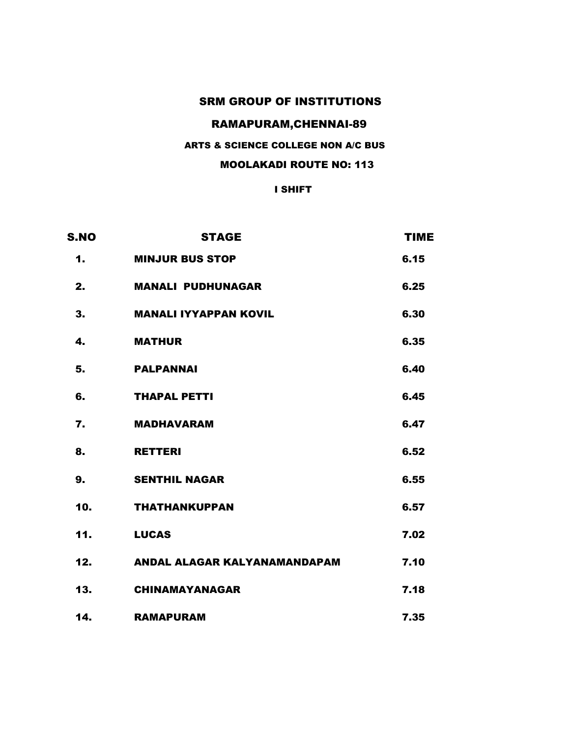### RAMAPURAM,CHENNAI-89

### ARTS & SCIENCE COLLEGE NON A/C BUS

#### MOOLAKADI ROUTE NO: 113

| <b>S.NO</b>      | <b>STAGE</b>                 | <b>TIME</b> |
|------------------|------------------------------|-------------|
| 1.               | <b>MINJUR BUS STOP</b>       | 6.15        |
| 2.               | <b>MANALI PUDHUNAGAR</b>     | 6.25        |
| 3.               | <b>MANALI IYYAPPAN KOVIL</b> | 6.30        |
| 4.               | <b>MATHUR</b>                | 6.35        |
| 5.               | <b>PALPANNAI</b>             | 6.40        |
| 6.               | <b>THAPAL PETTI</b>          | 6.45        |
| $\overline{7}$ . | <b>MADHAVARAM</b>            | 6.47        |
| 8.               | <b>RETTERI</b>               | 6.52        |
| 9.               | <b>SENTHIL NAGAR</b>         | 6.55        |
| 10.              | <b>THATHANKUPPAN</b>         | 6.57        |
| 11.              | <b>LUCAS</b>                 | 7.02        |
| 12.              | ANDAL ALAGAR KALYANAMANDAPAM | 7.10        |
| 13.              | <b>CHINAMAYANAGAR</b>        | 7.18        |
| 14.              | <b>RAMAPURAM</b>             | 7.35        |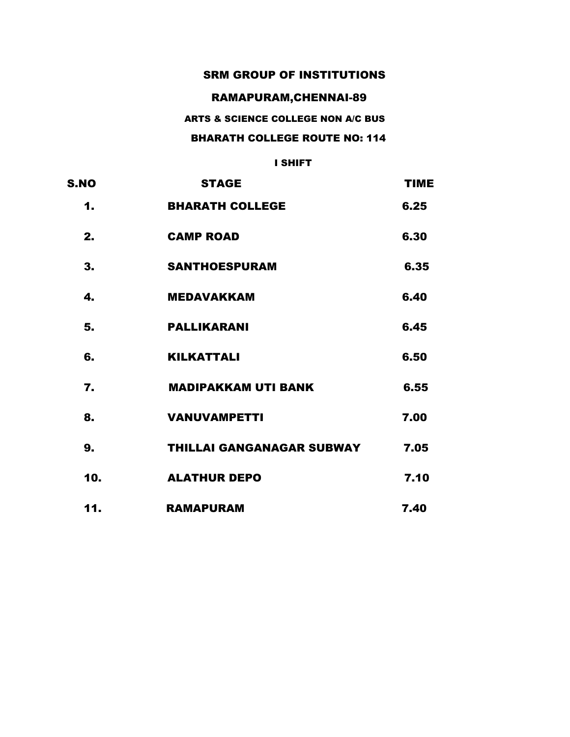### RAMAPURAM,CHENNAI-89

### ARTS & SCIENCE COLLEGE NON A/C BUS

### BHARATH COLLEGE ROUTE NO: 114

| <b>S.NO</b> | <b>STAGE</b>                     | <b>TIME</b> |
|-------------|----------------------------------|-------------|
| 1.          | <b>BHARATH COLLEGE</b>           | 6.25        |
| 2.          | <b>CAMP ROAD</b>                 | 6.30        |
| 3.          | <b>SANTHOESPURAM</b>             | 6.35        |
| 4.          | <b>MEDAVAKKAM</b>                | 6.40        |
| 5.          | <b>PALLIKARANI</b>               | 6.45        |
| 6.          | <b>KILKATTALI</b>                | 6.50        |
| 7.          | <b>MADIPAKKAM UTI BANK</b>       | 6.55        |
| 8.          | <b>VANUVAMPETTI</b>              | 7.00        |
| 9.          | <b>THILLAI GANGANAGAR SUBWAY</b> | 7.05        |
| 10.         | <b>ALATHUR DEPO</b>              | 7.10        |
| 11.         | <b>RAMAPURAM</b>                 | 7.40        |
|             |                                  |             |